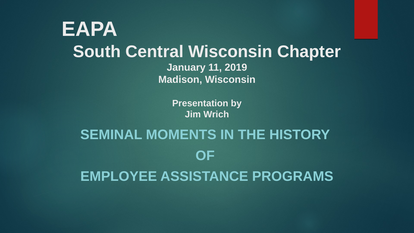# **EAPA South Central Wisconsin Chapter January 11, 2019 Madison, Wisconsin**

**Presentation by Jim Wrich**

# **SEMINAL MOMENTS IN THE HISTORY OF EMPLOYEE ASSISTANCE PROGRAMS**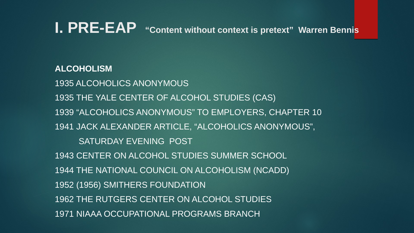**I. PRE-EAP "Content without context is pretext" Warren Bennis**

**ALCOHOLISM**

1935 ALCOHOLICS ANONYMOUS 1935 THE YALE CENTER OF ALCOHOL STUDIES (CAS) 1939 "ALCOHOLICS ANONYMOUS" TO EMPLOYERS, CHAPTER 10 1941 JACK ALEXANDER ARTICLE, "ALCOHOLICS ANONYMOUS", SATURDAY EVENING POST 1943 CENTER ON ALCOHOL STUDIES SUMMER SCHOOL 1944 THE NATIONAL COUNCIL ON ALCOHOLISM (NCADD) 1952 (1956) SMITHERS FOUNDATION

1962 THE RUTGERS CENTER ON ALCOHOL STUDIES

1971 NIAAA OCCUPATIONAL PROGRAMS BRANCH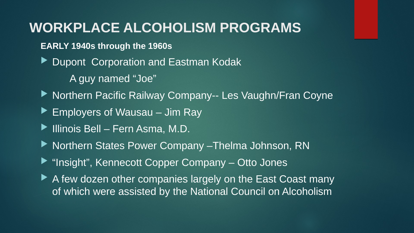## **WORKPLACE ALCOHOLISM PROGRAMS**

- **EARLY 1940s through the 1960s**
- ▶ Dupont Corporation and Eastman Kodak
	- A guy named "Joe"
- ▶ Northern Pacific Railway Company-- Les Vaughn/Fran Coyne
- $\blacktriangleright$  Employers of Wausau Jim Ray
- $\blacktriangleright$  Illinois Bell Fern Asma, M.D.
- ▶ Northern States Power Company –Thelma Johnson, RN
- ▶ "Insight", Kennecott Copper Company Otto Jones
- ▶ A few dozen other companies largely on the East Coast many of which were assisted by the National Council on Alcoholism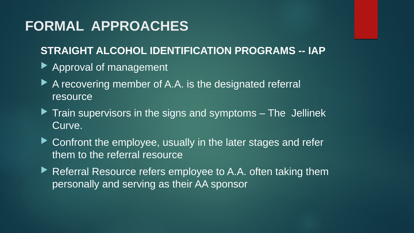## **FORMAL APPROACHES**

### **STRAIGHT ALCOHOL IDENTIFICATION PROGRAMS -- IAP**

- **Approval of management**
- A recovering member of A.A. is the designated referral resource
- $\blacktriangleright$  Train supervisors in the signs and symptoms  $-$  The Jellinek Curve.
- ▶ Confront the employee, usually in the later stages and refer them to the referral resource
- Referral Resource refers employee to A.A. often taking them personally and serving as their AA sponsor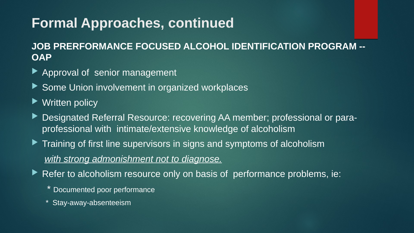# **Formal Approaches, continued**

### **JOB PRERFORMANCE FOCUSED ALCOHOL IDENTIFICATION PROGRAM -- OAP**

- ▶ Approval of senior management
- ▶ Some Union involvement in organized workplaces
- ▶ Written policy
- Designated Referral Resource: recovering AA member; professional or paraprofessional with intimate/extensive knowledge of alcoholism
- ▶ Training of first line supervisors in signs and symptoms of alcoholism *with strong admonishment not to diagnose.*
- Refer to alcoholism resource only on basis of performance problems, ie:
	- \* Documented poor performance
	- \* Stay-away-absenteeism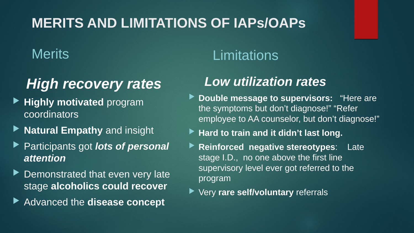# **MERITS AND LIMITATIONS OF IAPs/OAPs**

## **Merits**

# *High recovery rates*

- **Highly motivated** program coordinators
- ▶ **Natural Empathy** and insight
- ▶ Participants got *lots of personal attention*
- ▶ Demonstrated that even very late stage **alcoholics could recover**
- ▶ Advanced the **disease concept**

# **Limitations**

## *Low utilization rates*

- ▶ Double message to supervisors: "Here are the symptoms but don't diagnose!" "Refer employee to AA counselor, but don't diagnose!"
- ▶ Hard to train and it didn't last long.
- **Reinforced negative stereotypes**: Late stage I.D., no one above the first line supervisory level ever got referred to the program
- ▶ Very rare self/voluntary referrals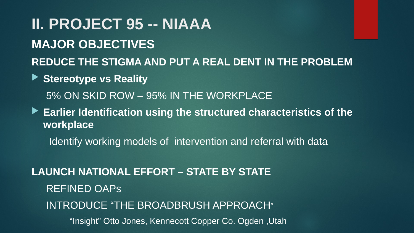**II. PROJECT 95 -- NIAAA MAJOR OBJECTIVES REDUCE THE STIGMA AND PUT A REAL DENT IN THE PROBLEM** ▶ Stereotype vs Reality 5% ON SKID ROW – 95% IN THE WORKPLACE **Earlier Identification using the structured characteristics of the workplace** Identify working models of intervention and referral with data **LAUNCH NATIONAL EFFORT – STATE BY STATE** REFINED OAPs INTRODUCE "THE BROADBRUSH APPROACH" "Insight" Otto Jones, Kennecott Copper Co. Ogden ,Utah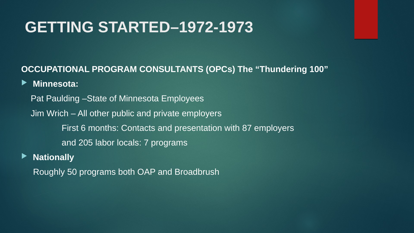# **GETTING STARTED–1972-1973**

### **OCCUPATIONAL PROGRAM CONSULTANTS (OPCs) The "Thundering 100"**

### **Minnesota:**

Pat Paulding –State of Minnesota Employees

Jim Wrich – All other public and private employers

First 6 months: Contacts and presentation with 87 employers

and 205 labor locals: 7 programs

### **Nationally**

Roughly 50 programs both OAP and Broadbrush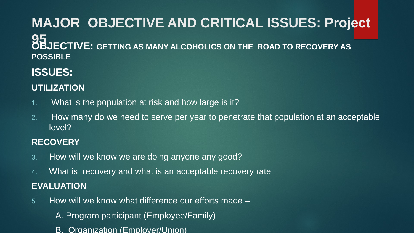**MAJOR OBJECTIVE AND CRITICAL ISSUES: Project 95OBJECTIVE: GETTING AS MANY ALCOHOLICS ON THE ROAD TO RECOVERY AS POSSIBLE**

## **ISSUES:**

### **UTILIZATION**

- 1. What is the population at risk and how large is it?
- 2. How many do we need to serve per year to penetrate that population at an acceptable level?

### **RECOVERY**

- 3. How will we know we are doing anyone any good?
- 4. What is recovery and what is an acceptable recovery rate **EVALUATION**
- 5. How will we know what difference our efforts made
	- A. Program participant (Employee/Family)
	- B. Organization (Employer/Union)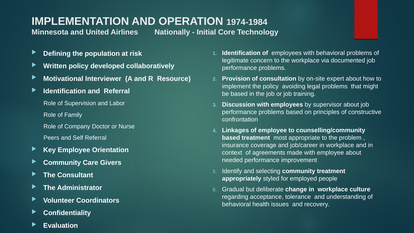## **IMPLEMENTATION AND OPERATION 1974-1984**

**Minnesota and United Airlines Nationally - Initial Core Technology** 

- **Defining the population at risk**
- **Written policy developed collaboratively**
- **Motivational Interviewer (A and R Resource)**
- **Identification and Referral**
	- Role of Supervision and Labor
	- Role of Family
	- Role of Company Doctor or Nurse
	- Peers and Self Referral
- ▶ Key Employee Orientation
- **Community Care Givers**
- **The Consultant**
- **The Administrator**
- **Volunteer Coordinators**
- **Confidentiality**
- **Evaluation**
- **1. Identification of** employees with behavioral problems of legitimate concern to the workplace via documented job performance problems.
- **2. Provision of consultation** by on-site expert about how to implement the policy avoiding legal problems that might be based in the job or job training.
- **3. Discussion with employees** by supervisor about job performance problems based on principles of constructive confrontation
- **4. Linkages of employee to counselling/community based treatment** most appropriate to the problem , insurance coverage and job/career in workplace and in context of agreements made with employee about needed performance improvement
- 5. Identify and selecting **community treatment appropriately** styled for employed people
- 6. Gradual but deliberate **change in workplace culture**  regarding acceptance, tolerance and understanding of behavioral health issues and recovery.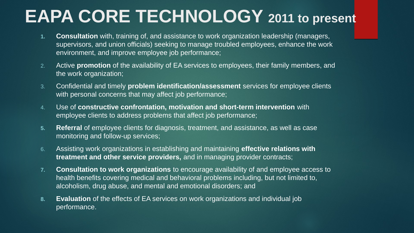# **EAPA CORE TECHNOLOGY 2011 to present**

- **1. Consultation** with, training of, and assistance to work organization leadership (managers, supervisors, and union officials) seeking to manage troubled employees, enhance the work environment, and improve employee job performance;
- 2. Active **promotion** of the availability of EA services to employees, their family members, and the work organization;
- 3. Confidential and timely **problem identification/assessment** services for employee clients with personal concerns that may affect job performance;
- 4. Use of **constructive confrontation, motivation and short-term intervention** with employee clients to address problems that affect job performance;
- **5. Referral** of employee clients for diagnosis, treatment, and assistance, as well as case monitoring and follow-up services;
- 6. Assisting work organizations in establishing and maintaining **effective relations with treatment and other service providers,** and in managing provider contracts;
- **7. Consultation to work organizations** to encourage availability of and employee access to health benefits covering medical and behavioral problems including, but not limited to, alcoholism, drug abuse, and mental and emotional disorders; and
- **8. Evaluation** of the effects of EA services on work organizations and individual job performance.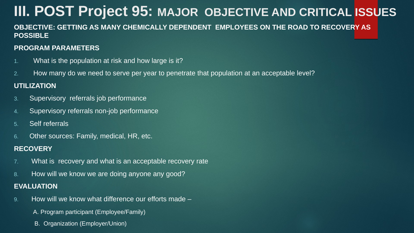## **III. POST Project 95: MAJOR OBJECTIVE AND CRITICAL ISSUES**

**OBJECTIVE: GETTING AS MANY CHEMICALLY DEPENDENT EMPLOYEES ON THE ROAD TO RECOVERY AS POSSIBLE**

#### **PROGRAM PARAMETERS**

- 1. What is the population at risk and how large is it?
- 2. How many do we need to serve per year to penetrate that population at an acceptable level?

#### **UTILIZATION**

- 3. Supervisory referrals job performance
- 4. Supervisory referrals non-job performance
- 5. Self referrals
- 6. Other sources: Family, medical, HR, etc.

#### **RECOVERY**

- 7. What is recovery and what is an acceptable recovery rate
- 8. How will we know we are doing anyone any good?

#### **EVALUATION**

- 9. How will we know what difference our efforts made
	- A. Program participant (Employee/Family)
	- B. Organization (Employer/Union)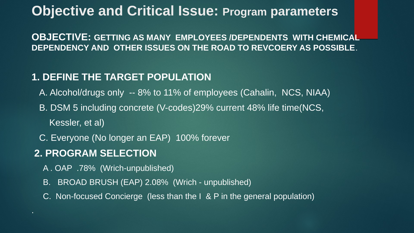## **Objective and Critical Issue: Program parameters**

**OBJECTIVE: GETTING AS MANY EMPLOYEES /DEPENDENTS WITH CHEMICAL DEPENDENCY AND OTHER ISSUES ON THE ROAD TO REVCOERY AS POSSIBLE**.

### **1. DEFINE THE TARGET POPULATION**

- A. Alcohol/drugs only -- 8% to 11% of employees (Cahalin, NCS, NIAA)
- B. DSM 5 including concrete (V-codes)29% current 48% life time(NCS, Kessler, et al)
- C. Everyone (No longer an EAP) 100% forever

### **2. PROGRAM SELECTION**

- A . OAP .78% (Wrich-unpublished)
- B. BROAD BRUSH (EAP) 2.08% (Wrich unpublished)
- C. Non-focused Concierge (less than the I & P in the general population)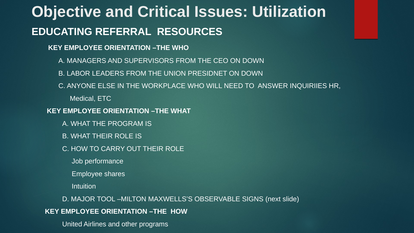# **Objective and Critical Issues: Utilization EDUCATING REFERRAL RESOURCES**

- **KEY EMPLOYEE ORIENTATION –THE WHO**
	- A. MANAGERS AND SUPERVISORS FROM THE CEO ON DOWN
	- B. LABOR LEADERS FROM THE UNION PRESIDNET ON DOWN
	- C. ANYONE ELSE IN THE WORKPLACE WHO WILL NEED TO ANSWER INQUIRIIES HR,

Medical, ETC

- **KEY EMPLOYEE ORIENTATION –THE WHAT**
	- A. WHAT THE PROGRAM IS
	- B. WHAT THEIR ROLE IS
	- C. HOW TO CARRY OUT THEIR ROLE
		- Job performance
		- Employee shares
		- Intuition
	- D. MAJOR TOOL –MILTON MAXWELLS'S OBSERVABLE SIGNS (next slide)

#### **KEY EMPLOYEE ORIENTATION –THE HOW**

United Airlines and other programs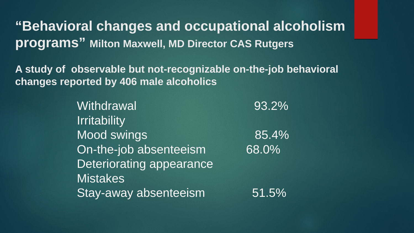**"Behavioral changes and occupational alcoholism programs" Milton Maxwell, MD Director CAS Rutgers**

**A study of observable but not-recognizable on-the-job behavioral changes reported by 406 male alcoholics**

> Withdrawal 93.2% **Irritability** Mood swings 85.4% On-the-job absenteeism 68.0% Deteriorating appearance **Mistakes** Stay-away absenteeism 51.5%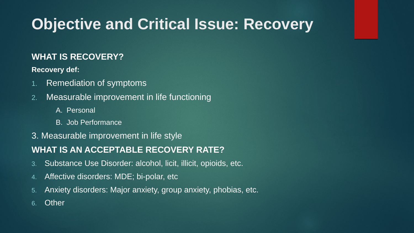# **Objective and Critical Issue: Recovery**

### **WHAT IS RECOVERY?**

### **Recovery def:**

- 1. Remediation of symptoms
- 2. Measurable improvement in life functioning
	- A. Personal
	- B. Job Performance
- 3. Measurable improvement in life style

### **WHAT IS AN ACCEPTABLE RECOVERY RATE?**

- 3. Substance Use Disorder: alcohol, licit, illicit, opioids, etc.
- 4. Affective disorders: MDE; bi-polar, etc
- 5. Anxiety disorders: Major anxiety, group anxiety, phobias, etc.
- 6. Other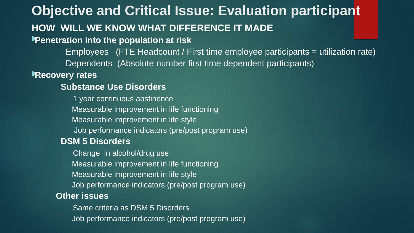## **Objective and Critical Issue: Evaluation participant**

### **HOW WILL WE KNOW WHAT DIFFERENCE IT MADE**

### **Penetration into the population at risk**

Employees (FTE Headcount / First time employee participants = utilization rate)

Dependents (Absolute number first time dependent participants)

### **Recovery rates**

### **Substance Use Disorders**

1 year continuous abstinence

Measurable improvement in life functioning

Measurable improvement in life style

Job performance indicators (pre/post program use)

### **DSM 5 Disorders**

Change in alcohol/drug use

Measurable improvement in life functioning

Measurable improvement in life style

Job performance indicators (pre/post program use)

### **Other issues**

Same criteria as DSM 5 Disorders Job performance indicators (pre/post program use)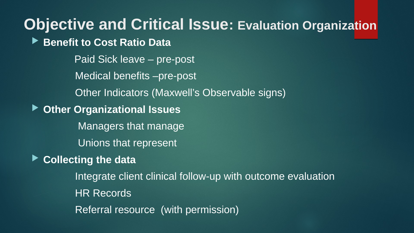# **Objective and Critical Issue: Evaluation Organization**

**Benefit to Cost Ratio Data**

Paid Sick leave – pre-post Medical benefits –pre-post Other Indicators (Maxwell's Observable signs) **Other Organizational Issues** Managers that manage Unions that represent

**Collecting the data** 

 Integrate client clinical follow-up with outcome evaluation HR Records Referral resource (with permission)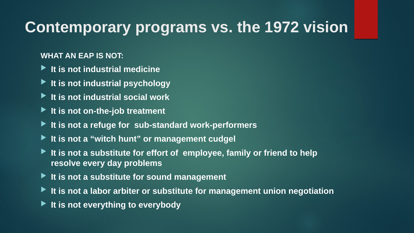# **Contemporary programs vs. the 1972 vision**

#### **WHAT AN EAP IS NOT:**

- **It is not industrial medicine**
- **It is not industrial psychology**
- **It is not industrial social work**
- ▶ It is not on-the-job treatment
- **It is not a refuge for sub-standard work-performers**
- **It is not a "witch hunt" or management cudgel**
- **It is not a substitute for effort of employee, family or friend to help resolve every day problems**
- **It is not a substitute for sound management**
- **It is not a labor arbiter or substitute for management union negotiation**
- **It is not everything to everybody**